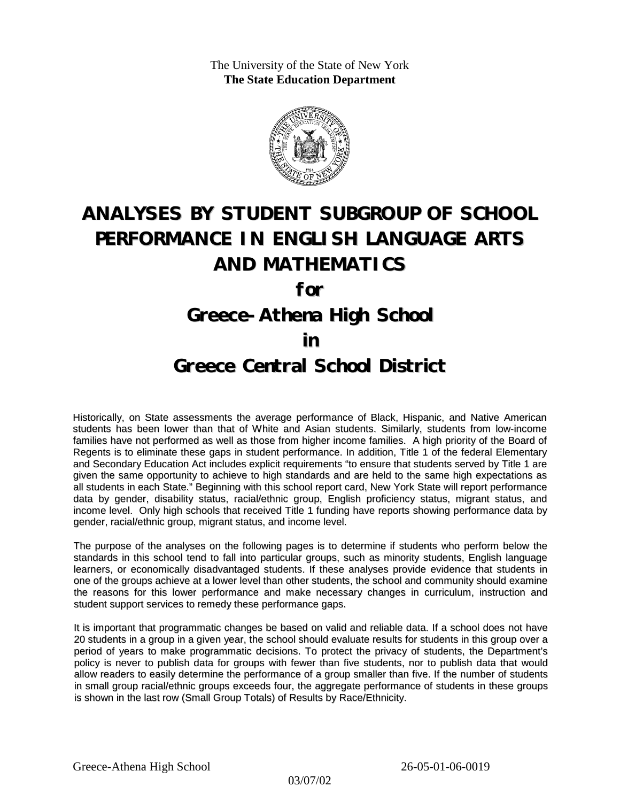The University of the State of New York **The State Education Department**



# **ANALYSES BY STUDENT SUBGROUP OF SCHOOL PERFORMANCE IN ENGLISH LANGUAGE ARTS AND MATHEMATICS**

**for**

## **Greece-Athena High School**

### **in**

### **Greece Central School District**

Historically, on State assessments the average performance of Black, Hispanic, and Native American students has been lower than that of White and Asian students. Similarly, students from low-income families have not performed as well as those from higher income families. A high priority of the Board of Regents is to eliminate these gaps in student performance. In addition, Title 1 of the federal Elementary and Secondary Education Act includes explicit requirements "to ensure that students served by Title 1 are given the same opportunity to achieve to high standards and are held to the same high expectations as all students in each State." Beginning with this school report card, New York State will report performance data by gender, disability status, racial/ethnic group, English proficiency status, migrant status, and income level. Only high schools that received Title 1 funding have reports showing performance data by gender, racial/ethnic group, migrant status, and income level.

The purpose of the analyses on the following pages is to determine if students who perform below the standards in this school tend to fall into particular groups, such as minority students, English language learners, or economically disadvantaged students. If these analyses provide evidence that students in one of the groups achieve at a lower level than other students, the school and community should examine the reasons for this lower performance and make necessary changes in curriculum, instruction and student support services to remedy these performance gaps.

It is important that programmatic changes be based on valid and reliable data. If a school does not have 20 students in a group in a given year, the school should evaluate results for students in this group over a period of years to make programmatic decisions. To protect the privacy of students, the Department's policy is never to publish data for groups with fewer than five students, nor to publish data that would allow readers to easily determine the performance of a group smaller than five. If the number of students in small group racial/ethnic groups exceeds four, the aggregate performance of students in these groups is shown in the last row (Small Group Totals) of Results by Race/Ethnicity.